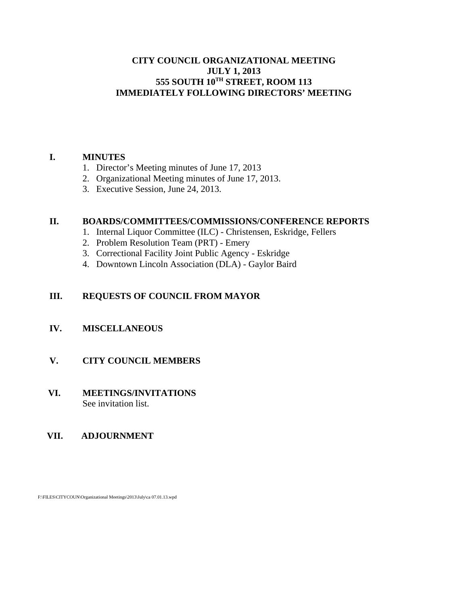#### **CITY COUNCIL ORGANIZATIONAL MEETING JULY 1, 2013 555 SOUTH 10TH STREET, ROOM 113 IMMEDIATELY FOLLOWING DIRECTORS' MEETING**

#### **I. MINUTES**

- 1. Director's Meeting minutes of June 17, 2013
- 2. Organizational Meeting minutes of June 17, 2013.
- 3. Executive Session, June 24, 2013.

#### **II. BOARDS/COMMITTEES/COMMISSIONS/CONFERENCE REPORTS**

- 1. Internal Liquor Committee (ILC) Christensen, Eskridge, Fellers
- 2. Problem Resolution Team (PRT) Emery
- 3. Correctional Facility Joint Public Agency Eskridge
- 4. Downtown Lincoln Association (DLA) Gaylor Baird

# **III. REQUESTS OF COUNCIL FROM MAYOR**

# **IV. MISCELLANEOUS**

# **V. CITY COUNCIL MEMBERS**

#### **VI. MEETINGS/INVITATIONS** See invitation list.

# **VII. ADJOURNMENT**

F:\FILES\CITYCOUN\Organizational Meetings\2013\July\ca 07.01.13.wpd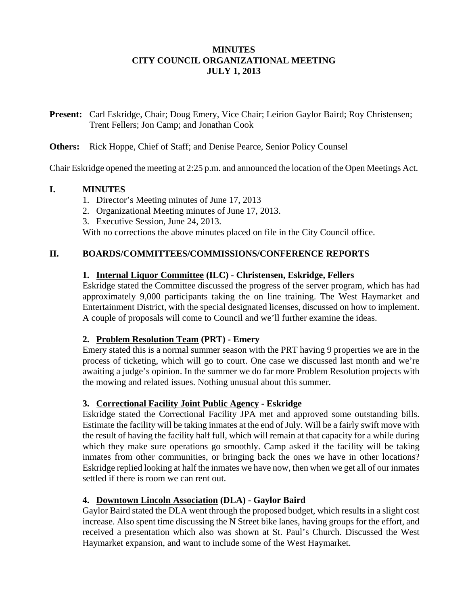#### **MINUTES CITY COUNCIL ORGANIZATIONAL MEETING JULY 1, 2013**

**Present:** Carl Eskridge, Chair; Doug Emery, Vice Chair; Leirion Gaylor Baird; Roy Christensen; Trent Fellers; Jon Camp; and Jonathan Cook

#### **Others:** Rick Hoppe, Chief of Staff; and Denise Pearce, Senior Policy Counsel

Chair Eskridge opened the meeting at 2:25 p.m. and announced the location of the Open Meetings Act.

#### **I. MINUTES**

- 1. Director's Meeting minutes of June 17, 2013
- 2. Organizational Meeting minutes of June 17, 2013.
- 3. Executive Session, June 24, 2013.

With no corrections the above minutes placed on file in the City Council office.

#### **II. BOARDS/COMMITTEES/COMMISSIONS/CONFERENCE REPORTS**

#### **1. Internal Liquor Committee (ILC) - Christensen, Eskridge, Fellers**

Eskridge stated the Committee discussed the progress of the server program, which has had approximately 9,000 participants taking the on line training. The West Haymarket and Entertainment District, with the special designated licenses, discussed on how to implement. A couple of proposals will come to Council and we'll further examine the ideas.

#### **2. Problem Resolution Team (PRT) - Emery**

Emery stated this is a normal summer season with the PRT having 9 properties we are in the process of ticketing, which will go to court. One case we discussed last month and we're awaiting a judge's opinion. In the summer we do far more Problem Resolution projects with the mowing and related issues. Nothing unusual about this summer.

# **3. Correctional Facility Joint Public Agency - Eskridge**

Eskridge stated the Correctional Facility JPA met and approved some outstanding bills. Estimate the facility will be taking inmates at the end of July. Will be a fairly swift move with the result of having the facility half full, which will remain at that capacity for a while during which they make sure operations go smoothly. Camp asked if the facility will be taking inmates from other communities, or bringing back the ones we have in other locations? Eskridge replied looking at half the inmates we have now, then when we get all of our inmates settled if there is room we can rent out.

# **4. Downtown Lincoln Association (DLA) - Gaylor Baird**

Gaylor Baird stated the DLA went through the proposed budget, which results in a slight cost increase. Also spent time discussing the N Street bike lanes, having groups for the effort, and received a presentation which also was shown at St. Paul's Church. Discussed the West Haymarket expansion, and want to include some of the West Haymarket.